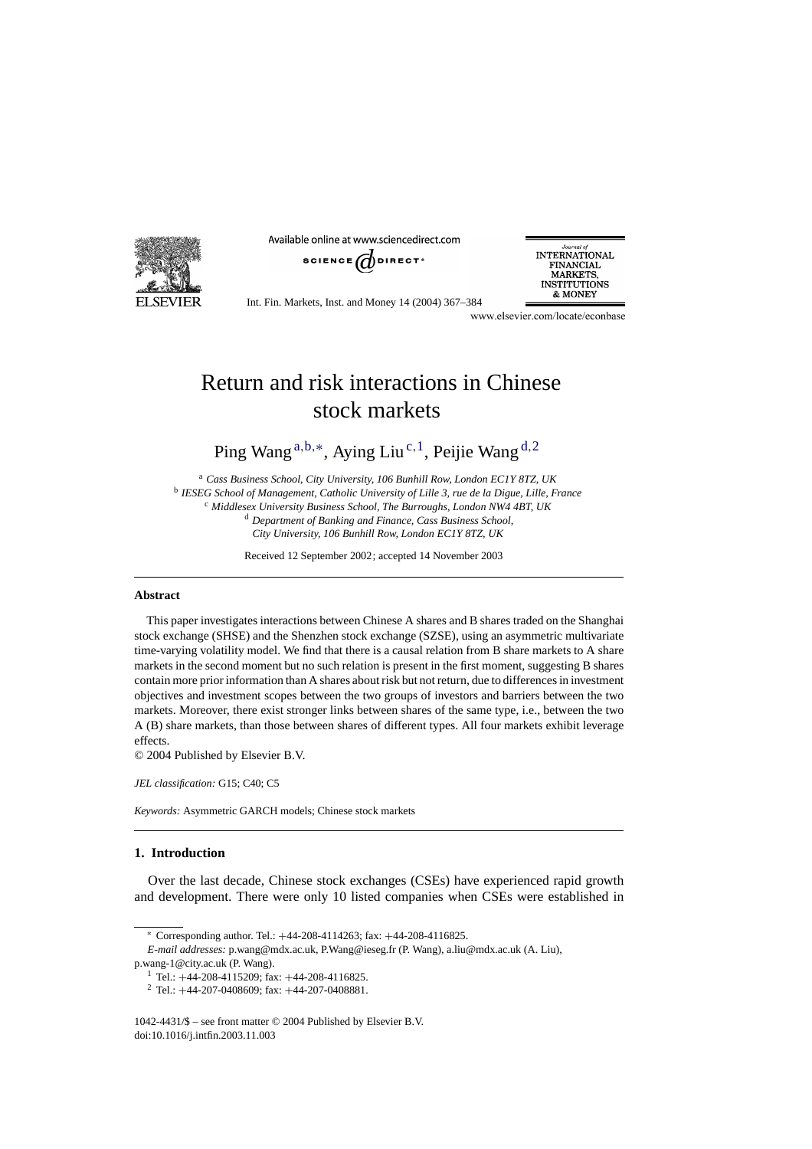

Available online at www.sciencedirect.com



Journal o **INTERNATIONAL FINANCIAL MARKETS, INSTITUTIONS** & MONEY

Int. Fin. Markets, Inst. and Money 14 (2004) 367–384

www.elsevier.com/locate/econbase

## Return and risk interactions in Chinese stock markets

Ping Wang<sup>a,b,∗</sup>, Aying Liu<sup>c,1</sup>, Peijie Wang<sup>d,2</sup>

<sup>a</sup> *Cass Business School, City University, 106 Bunhill Row, London EC1Y 8TZ, UK* <sup>b</sup> *IESEG School of Management, Catholic University of Lille 3, rue de la Digue, Lille, France* <sup>c</sup> *Middlesex University Business School, The Burroughs, London NW4 4BT, UK* <sup>d</sup> *Department of Banking and Finance, Cass Business School, City University, 106 Bunhill Row, London EC1Y 8TZ, UK*

Received 12 September 2002; accepted 14 November 2003

## **Abstract**

This paper investigates interactions between Chinese A shares and B shares traded on the Shanghai stock exchange (SHSE) and the Shenzhen stock exchange (SZSE), using an asymmetric multivariate time-varying volatility model. We find that there is a causal relation from B share markets to A share markets in the second moment but no such relation is present in the first moment, suggesting B shares contain more prior information than A shares about risk but not return, due to differences in investment objectives and investment scopes between the two groups of investors and barriers between the two markets. Moreover, there exist stronger links between shares of the same type, i.e., between the two A (B) share markets, than those between shares of different types. All four markets exhibit leverage effects.

© 2004 Published by Elsevier B.V.

*JEL classification:* G15; C40; C5

*Keywords:* Asymmetric GARCH models; Chinese stock markets

## **1. Introduction**

Over the last decade, Chinese stock exchanges (CSEs) have experienced rapid growth and development. There were only 10 listed companies when CSEs were established in

<sup>∗</sup> Corresponding author. Tel.: +44-208-4114263; fax: +44-208-4116825.

*E-mail addresses:* p.wang@mdx.ac.uk, P.Wang@ieseg.fr (P. Wang), a.liu@mdx.ac.uk (A. Liu), p.wang-1@city.ac.uk (P. Wang).

<sup>1</sup> Tel.:  $+44-208-4115209$ ; fax:  $+44-208-4116825$ .<br>
<sup>2</sup> Tel.:  $+44-207-0408609$ ; fax:  $+44-207-0408881$ .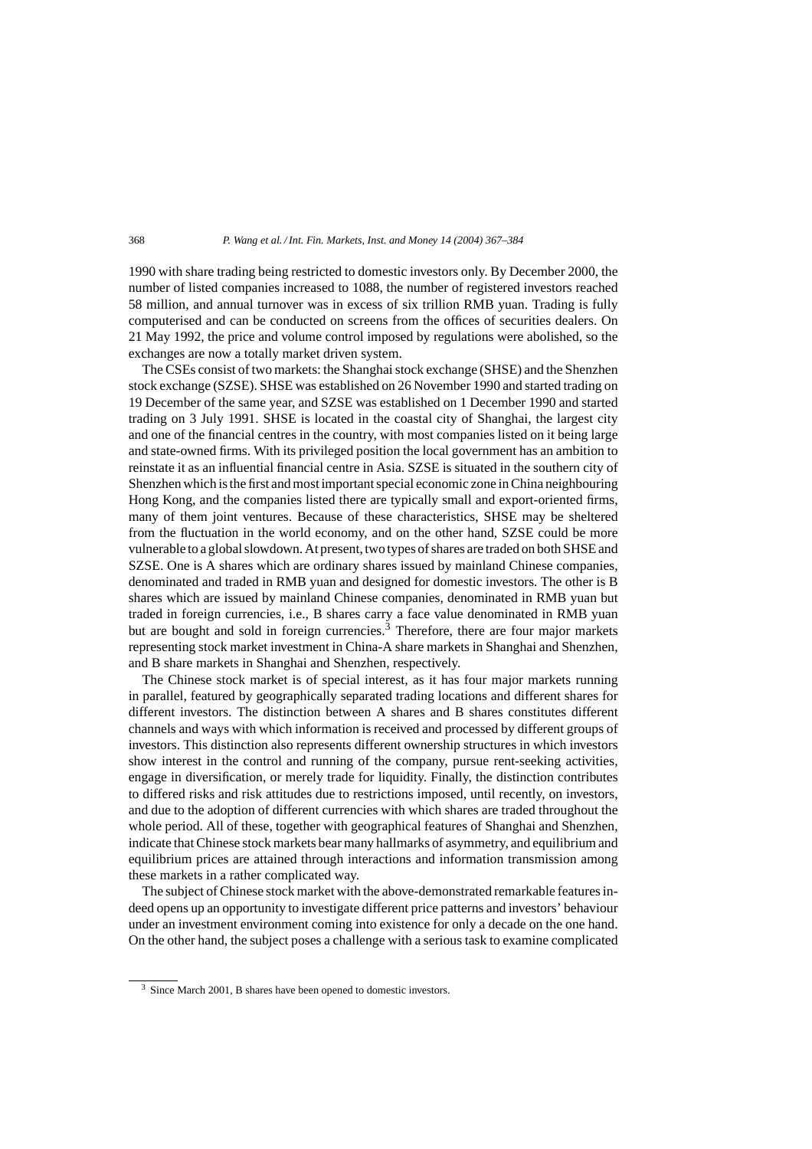1990 with share trading being restricted to domestic investors only. By December 2000, the number of listed companies increased to 1088, the number of registered investors reached 58 million, and annual turnover was in excess of six trillion RMB yuan. Trading is fully computerised and can be conducted on screens from the offices of securities dealers. On 21 May 1992, the price and volume control imposed by regulations were abolished, so the exchanges are now a totally market driven system.

The CSEs consist of two markets: the Shanghai stock exchange (SHSE) and the Shenzhen stock exchange (SZSE). SHSE was established on 26 November 1990 and started trading on 19 December of the same year, and SZSE was established on 1 December 1990 and started trading on 3 July 1991. SHSE is located in the coastal city of Shanghai, the largest city and one of the financial centres in the country, with most companies listed on it being large and state-owned firms. With its privileged position the local government has an ambition to reinstate it as an influential financial centre in Asia. SZSE is situated in the southern city of Shenzhen which is the first and most important special economic zone in China neighbouring Hong Kong, and the companies listed there are typically small and export-oriented firms, many of them joint ventures. Because of these characteristics, SHSE may be sheltered from the fluctuation in the world economy, and on the other hand, SZSE could be more vulnerable to a global slowdown. At present, two types of shares are traded on both SHSE and SZSE. One is A shares which are ordinary shares issued by mainland Chinese companies, denominated and traded in RMB yuan and designed for domestic investors. The other is B shares which are issued by mainland Chinese companies, denominated in RMB yuan but traded in foreign currencies, i.e., B shares carry a face value denominated in RMB yuan but are bought and sold in foreign currencies.<sup>3</sup> Therefore, there are four major markets representing stock market investment in China-A share markets in Shanghai and Shenzhen, and B share markets in Shanghai and Shenzhen, respectively.

The Chinese stock market is of special interest, as it has four major markets running in parallel, featured by geographically separated trading locations and different shares for different investors. The distinction between A shares and B shares constitutes different channels and ways with which information is received and processed by different groups of investors. This distinction also represents different ownership structures in which investors show interest in the control and running of the company, pursue rent-seeking activities, engage in diversification, or merely trade for liquidity. Finally, the distinction contributes to differed risks and risk attitudes due to restrictions imposed, until recently, on investors, and due to the adoption of different currencies with which shares are traded throughout the whole period. All of these, together with geographical features of Shanghai and Shenzhen, indicate that Chinese stock markets bear many hallmarks of asymmetry, and equilibrium and equilibrium prices are attained through interactions and information transmission among these markets in a rather complicated way.

The subject of Chinese stock market with the above-demonstrated remarkable features indeed opens up an opportunity to investigate different price patterns and investors' behaviour under an investment environment coming into existence for only a decade on the one hand. On the other hand, the subject poses a challenge with a serious task to examine complicated

<sup>3</sup> Since March 2001, B shares have been opened to domestic investors.